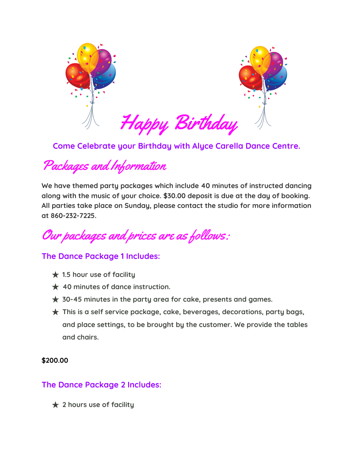

**Come Celebrate your Birthday with Alyce Carella Dance Centre.**

Packages and Information

**We have themed party packages which include 40 minutes of instructed dancing along with the music of your choice. \$30.00 deposit is due at the day of booking. All parties take place on Sunday, please contact the studio for more information at 860-232-7225.**

Our packages and prices are as follows:

## **The Dance Package 1 Includes:**

- ★ **1.5 hour use of facility**
- ★ **40 minutes of dance instruction.**
- ★ **30-45 minutes in the party area for cake, presents and games.**
- ★ **This is a self service package, cake, beverages, decorations, party bags, and place settings, to be brought by the customer. We provide the tables and chairs.**

## **\$200.00**

## **The Dance Package 2 Includes:**

★ **2 hours use of facility**